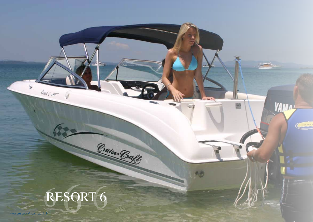## **6** RESORT 6

Cruise Craft

www.cruisecraft.com.au | 24

٠

 $\mathcal{C}(\mathcal{M})=\mathcal{M}(\mathcal{M})$ 

**YAMA!** 

CONT

圖

 $-2/3$ 

吗